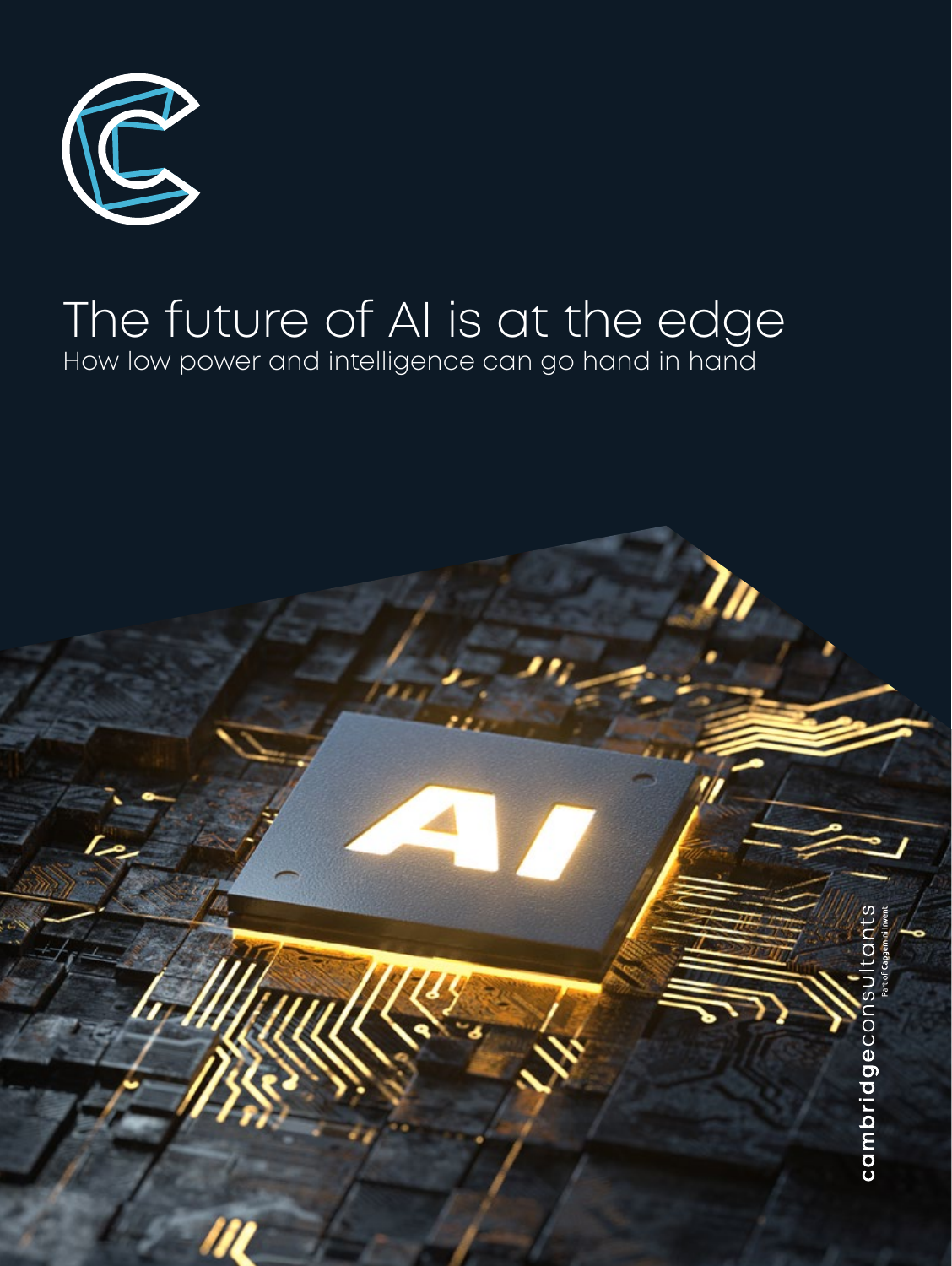

# The future of AI is at the edge How low power and intelligence can go hand in hand

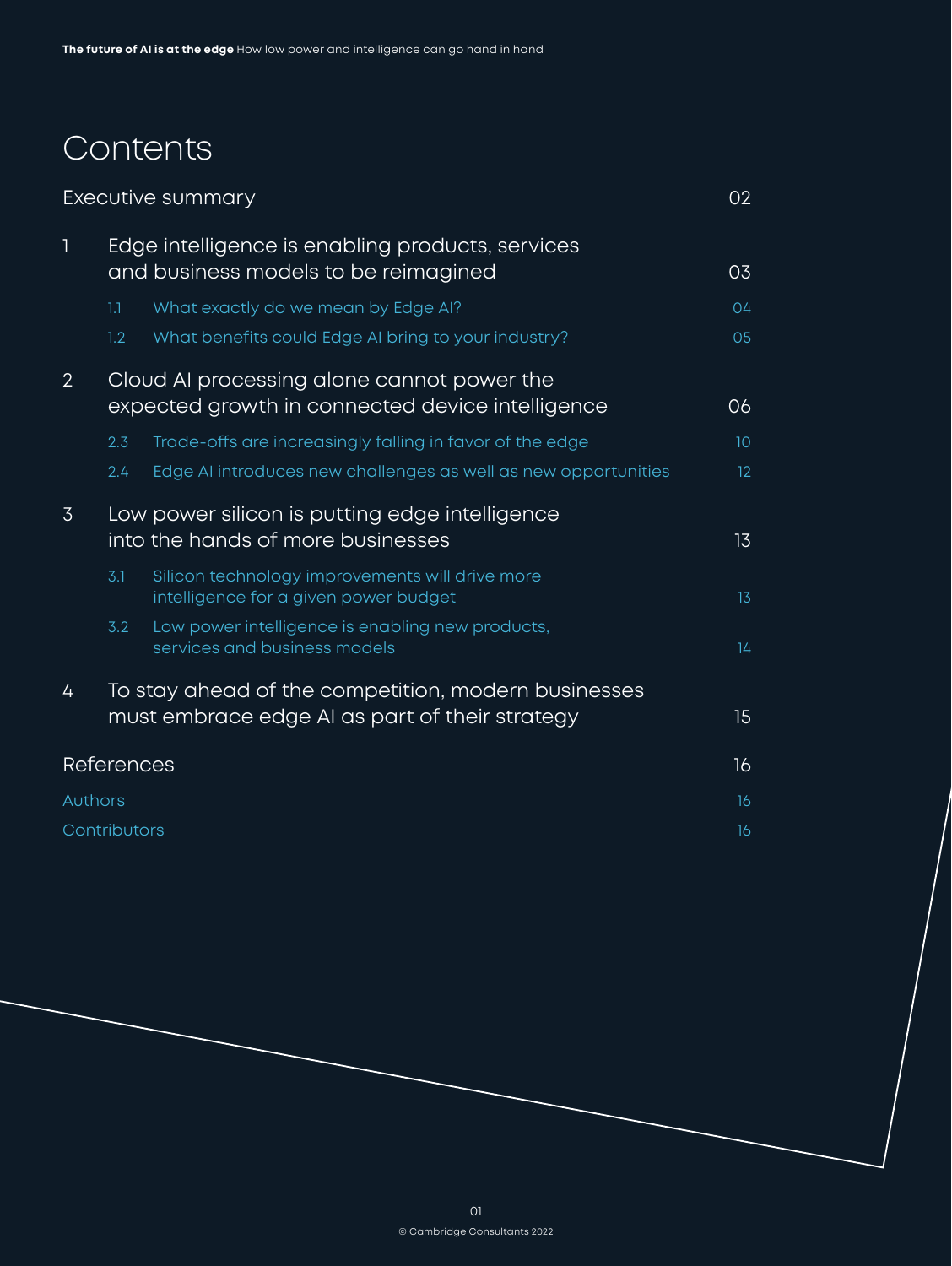# Contents

|                   | Executive summary                                                                                     |                                                                                          |                 |
|-------------------|-------------------------------------------------------------------------------------------------------|------------------------------------------------------------------------------------------|-----------------|
| $\mathbf{1}$      | Edge intelligence is enabling products, services<br>and business models to be reimagined              |                                                                                          | 03              |
|                   | 1.1                                                                                                   | What exactly do we mean by Edge AI?                                                      | 04              |
|                   | 1.2                                                                                                   | What benefits could Edge AI bring to your industry?                                      | 05              |
| $\overline{2}$    | Cloud AI processing alone cannot power the<br>expected growth in connected device intelligence        |                                                                                          | 06              |
|                   | 2.3                                                                                                   | Trade-offs are increasingly falling in favor of the edge                                 | 10 <sup>°</sup> |
|                   | 2.4                                                                                                   | Edge AI introduces new challenges as well as new opportunities                           | 12              |
| $\overline{3}$    | Low power silicon is putting edge intelligence<br>into the hands of more businesses                   |                                                                                          | 13 <sup>°</sup> |
|                   | 3.1                                                                                                   | Silicon technology improvements will drive more<br>intelligence for a given power budget | 13              |
|                   | 3.2                                                                                                   | Low power intelligence is enabling new products,<br>services and business models         | 14 <sub>1</sub> |
| 4                 | To stay ahead of the competition, modern businesses<br>must embrace edge AI as part of their strategy |                                                                                          | 15              |
| <b>References</b> |                                                                                                       |                                                                                          | 16              |
| Authors           |                                                                                                       |                                                                                          | 16              |
| Contributors      |                                                                                                       |                                                                                          | 16              |
|                   |                                                                                                       |                                                                                          |                 |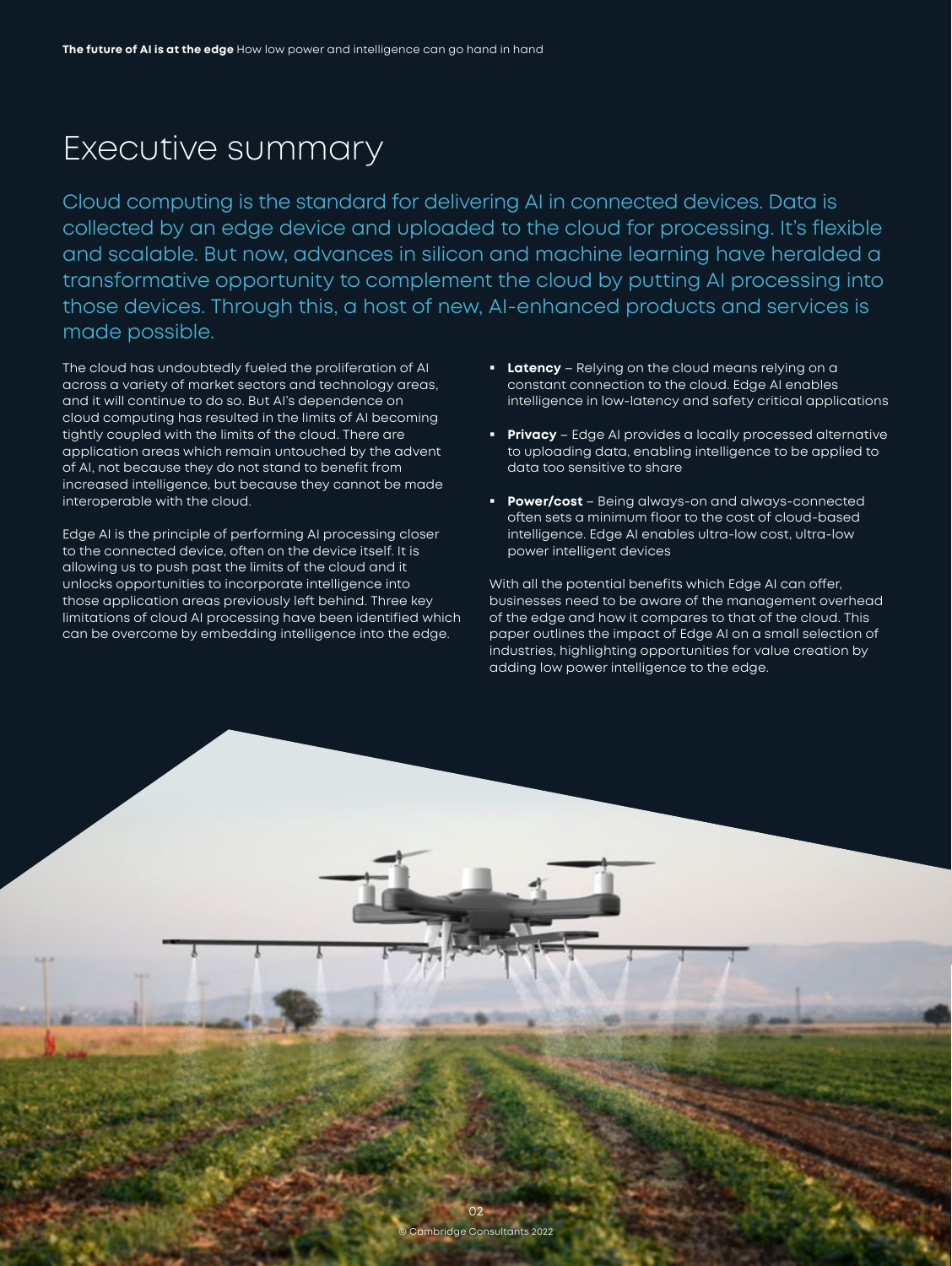# <span id="page-2-0"></span>Executive summary

Cloud computing is the standard for delivering AI in connected devices. Data is collected by an edge device and uploaded to the cloud for processing. It's flexible and scalable. But now, advances in silicon and machine learning have heralded a transformative opportunity to complement the cloud by putting AI processing into those devices. Through this, a host of new, AI-enhanced products and services is made possible.

The cloud has undoubtedly fueled the proliferation of AI across a variety of market sectors and technology areas, and it will continue to do so. But AI's dependence on cloud computing has resulted in the limits of AI becoming tightly coupled with the limits of the cloud. There are application areas which remain untouched by the advent of AI, not because they do not stand to benefit from increased intelligence, but because they cannot be made interoperable with the cloud.

Edge AI is the principle of performing AI processing closer to the connected device, often on the device itself. It is allowing us to push past the limits of the cloud and it unlocks opportunities to incorporate intelligence into those application areas previously left behind. Three key limitations of cloud AI processing have been identified which can be overcome by embedding intelligence into the edge.

- **Latency** Relying on the cloud means relying on a constant connection to the cloud. Edge AI enables intelligence in low-latency and safety critical applications
- **Privacy** Edge AI provides a locally processed alternative to uploading data, enabling intelligence to be applied to data too sensitive to share
- **Power/cost**  Being always-on and always-connected often sets a minimum floor to the cost of cloud-based intelligence. Edge AI enables ultra-low cost, ultra-low power intelligent devices

With all the potential benefits which Edge AI can offer, businesses need to be aware of the management overhead of the edge and how it compares to that of the cloud. This paper outlines the impact of Edge AI on a small selection of industries, highlighting opportunities for value creation by adding low power intelligence to the edge.

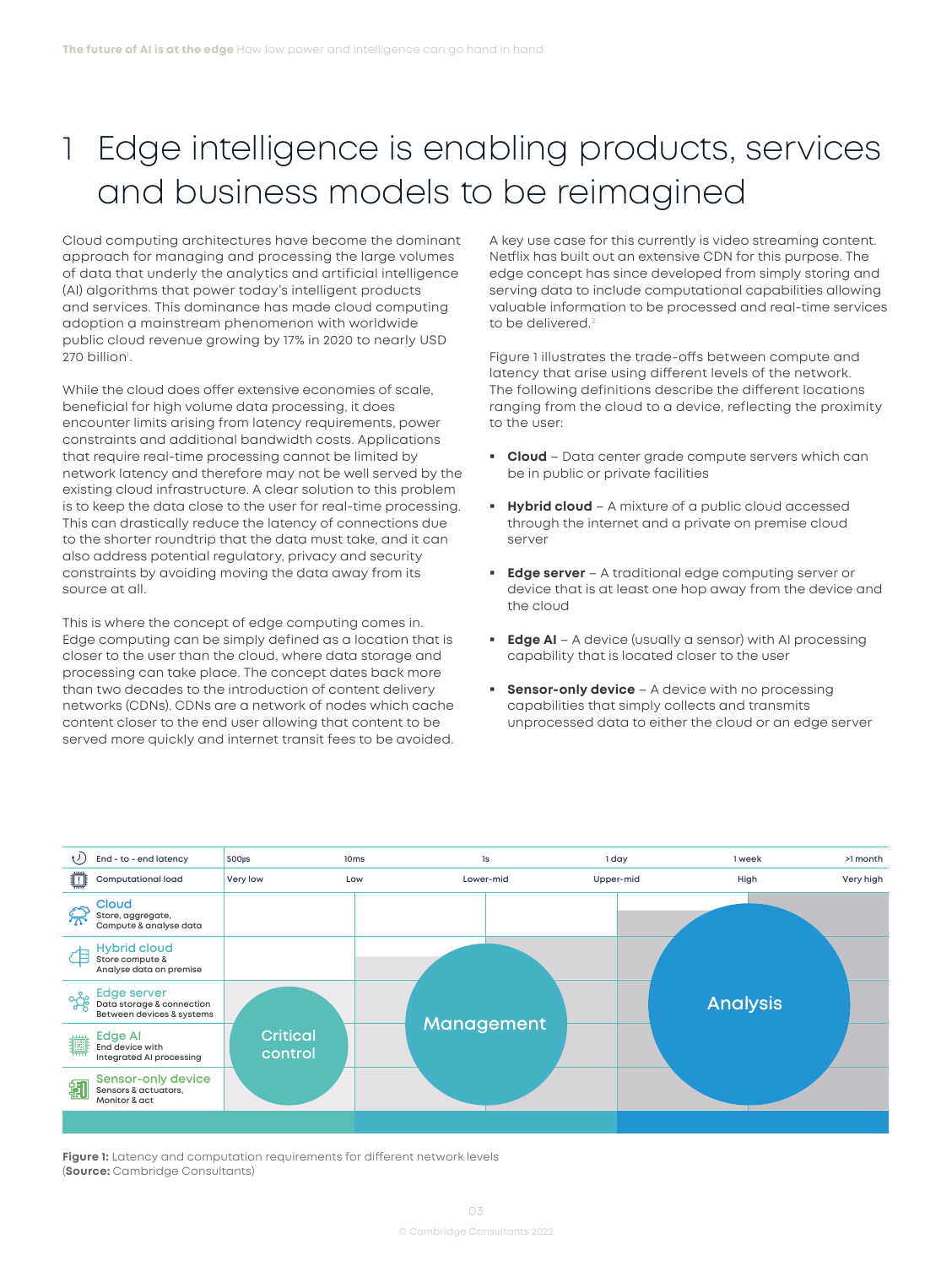# <span id="page-3-0"></span>Edge intelligence is enabling products, services and business models to be reimagined

Cloud computing architectures have become the dominant approach for managing and processing the large volumes of data that underly the analytics and artificial intelligence (AI) algorithms that power today's intelligent products and services. This dominance has made cloud computing adoption a mainstream phenomenon with worldwide public cloud revenue growing by 17% in 2020 to nearly USD 270 billion<sup>ı</sup>.

While the cloud does offer extensive economies of scale, beneficial for high volume data processing, it does encounter limits arising from latency requirements, power constraints and additional bandwidth costs. Applications that require real-time processing cannot be limited by network latency and therefore may not be well served by the existing cloud infrastructure. A clear solution to this problem is to keep the data close to the user for real-time processing. This can drastically reduce the latency of connections due to the shorter roundtrip that the data must take, and it can also address potential regulatory, privacy and security constraints by avoiding moving the data away from its source at all.

This is where the concept of edge computing comes in. Edge computing can be simply defined as a location that is closer to the user than the cloud, where data storage and processing can take place. The concept dates back more than two decades to the introduction of content delivery networks (CDNs). CDNs are a network of nodes which cache content closer to the end user allowing that content to be served more quickly and internet transit fees to be avoided. A key use case for this currently is video streaming content. Netflix has built out an extensive CDN for this purpose. The edge concept has since developed from simply storing and serving data to include computational capabilities allowing valuable information to be processed and real-time services to be delivered.<sup>[2](#page-16-0)</sup>

Figure 1 illustrates the trade-offs between compute and latency that arise using different levels of the network. The following definitions describe the different locations ranging from the cloud to a device, reflecting the proximity to the user:

- **Cloud** Data center grade compute servers which can be in public or private facilities
- **Hybrid cloud** A mixture of a public cloud accessed through the internet and a private on premise cloud server
- **Edge server** A traditional edge computing server or device that is at least one hop away from the device and the cloud
- **Edge AI** A device (usually a sensor) with AI processing capability that is located closer to the user
- **Sensor-only device** A device with no processing capabilities that simply collects and transmits unprocessed data to either the cloud or an edge server



**Figure 1:** Latency and computation requirements for different network levels (**Source:** Cambridge Consultants)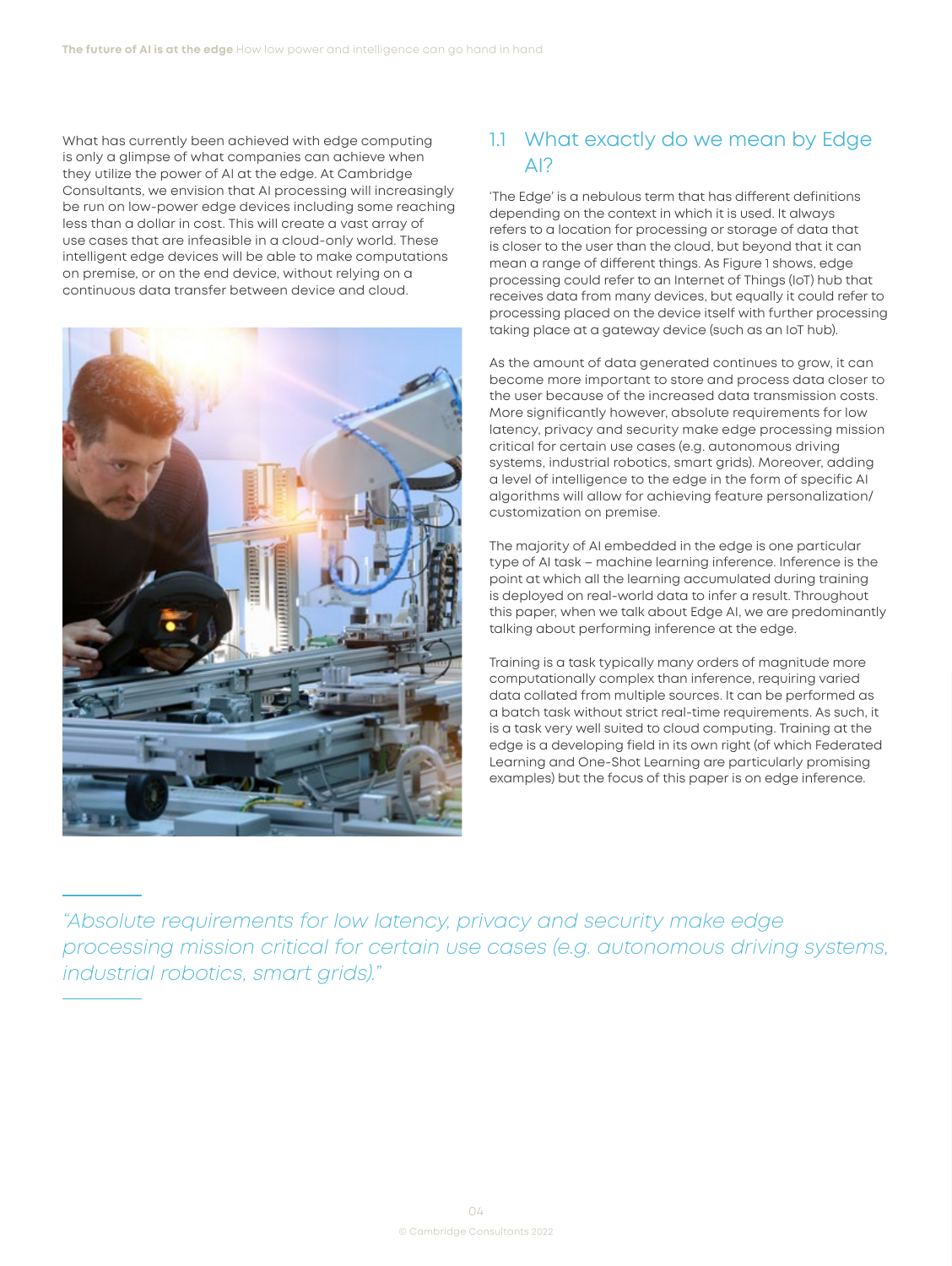<span id="page-4-0"></span>What has currently been achieved with edge computing is only a glimpse of what companies can achieve when they utilize the power of AI at the edge. At Cambridge Consultants, we envision that AI processing will increasingly be run on low-power edge devices including some reaching less than a dollar in cost. This will create a vast array of use cases that are infeasible in a cloud-only world. These intelligent edge devices will be able to make computations on premise, or on the end device, without relying on a continuous data transfer between device and cloud.



# 1.1 What exactly do we mean by Edge AI?

'The Edge' is a nebulous term that has different definitions depending on the context in which it is used. It always refers to a location for processing or storage of data that is closer to the user than the cloud, but beyond that it can mean a range of different things. As Figure 1 shows, edge processing could refer to an Internet of Things (IoT) hub that receives data from many devices, but equally it could refer to processing placed on the device itself with further processing taking place at a gateway device (such as an IoT hub).

As the amount of data generated continues to grow, it can become more important to store and process data closer to the user because of the increased data transmission costs. More significantly however, absolute requirements for low latency, privacy and security make edge processing mission critical for certain use cases (e.g. autonomous driving systems, industrial robotics, smart grids). Moreover, adding a level of intelligence to the edge in the form of specific AI algorithms will allow for achieving feature personalization/ customization on premise.

The majority of AI embedded in the edge is one particular type of AI task – machine learning inference. Inference is the point at which all the learning accumulated during training is deployed on real-world data to infer a result. Throughout this paper, when we talk about Edge AI, we are predominantly talking about performing inference at the edge.

Training is a task typically many orders of magnitude more computationally complex than inference, requiring varied data collated from multiple sources. It can be performed as a batch task without strict real-time requirements. As such, it is a task very well suited to cloud computing. Training at the edge is a developing field in its own right (of which Federated Learning and One-Shot Learning are particularly promising examples) but the focus of this paper is on edge inference.

*"Absolute requirements for low latency, privacy and security make edge processing mission critical for certain use cases (e.g. autonomous driving systems, industrial robotics, smart grids)."*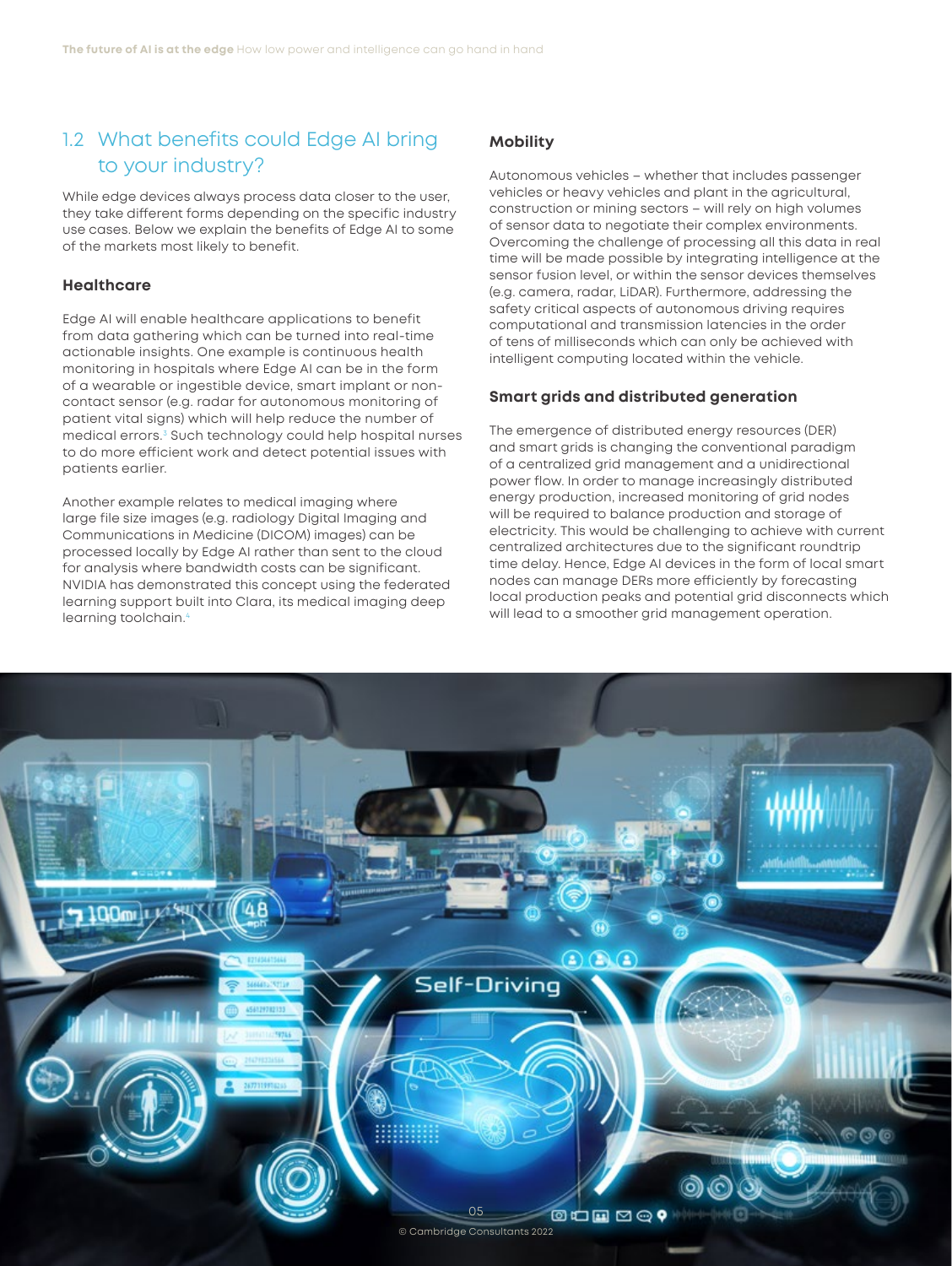## <span id="page-5-0"></span>1.2 What benefits could Edge AI bring to your industry?

While edge devices always process data closer to the user, they take different forms depending on the specific industry use cases. Below we explain the benefits of Edge AI to some of the markets most likely to benefit.

#### **Healthcare**

Edge AI will enable healthcare applications to benefit from data gathering which can be turned into real-time actionable insights. One example is continuous health monitoring in hospitals where Edge AI can be in the form of a wearable or ingestible device, smart implant or noncontact sensor (e.g. radar for autonomous monitoring of patient vital signs) which will help reduce the number of medical errors.[3](#page-16-0) Such technology could help hospital nurses to do more efficient work and detect potential issues with patients earlier.

Another example relates to medical imaging where large file size images (e.g. radiology Digital Imaging and Communications in Medicine (DICOM) images) can be processed locally by Edge AI rather than sent to the cloud for analysis where bandwidth costs can be significant. NVIDIA has demonstrated this concept using the federated learning support built into Clara, its medical imaging deep learning toolchain[.4](#page-16-0)

## **Mobility**

Autonomous vehicles – whether that includes passenger vehicles or heavy vehicles and plant in the agricultural, construction or mining sectors – will rely on high volumes of sensor data to negotiate their complex environments. Overcoming the challenge of processing all this data in real time will be made possible by integrating intelligence at the sensor fusion level, or within the sensor devices themselves (e.g. camera, radar, LiDAR). Furthermore, addressing the safety critical aspects of autonomous driving requires computational and transmission latencies in the order of tens of milliseconds which can only be achieved with intelligent computing located within the vehicle.

### **Smart grids and distributed generation**

The emergence of distributed energy resources (DER) and smart grids is changing the conventional paradigm of a centralized grid management and a unidirectional power flow. In order to manage increasingly distributed energy production, increased monitoring of grid nodes will be required to balance production and storage of electricity. This would be challenging to achieve with current centralized architectures due to the significant roundtrip time delay. Hence, Edge AI devices in the form of local smart nodes can manage DERs more efficiently by forecasting local production peaks and potential grid disconnects which will lead to a smoother grid management operation.

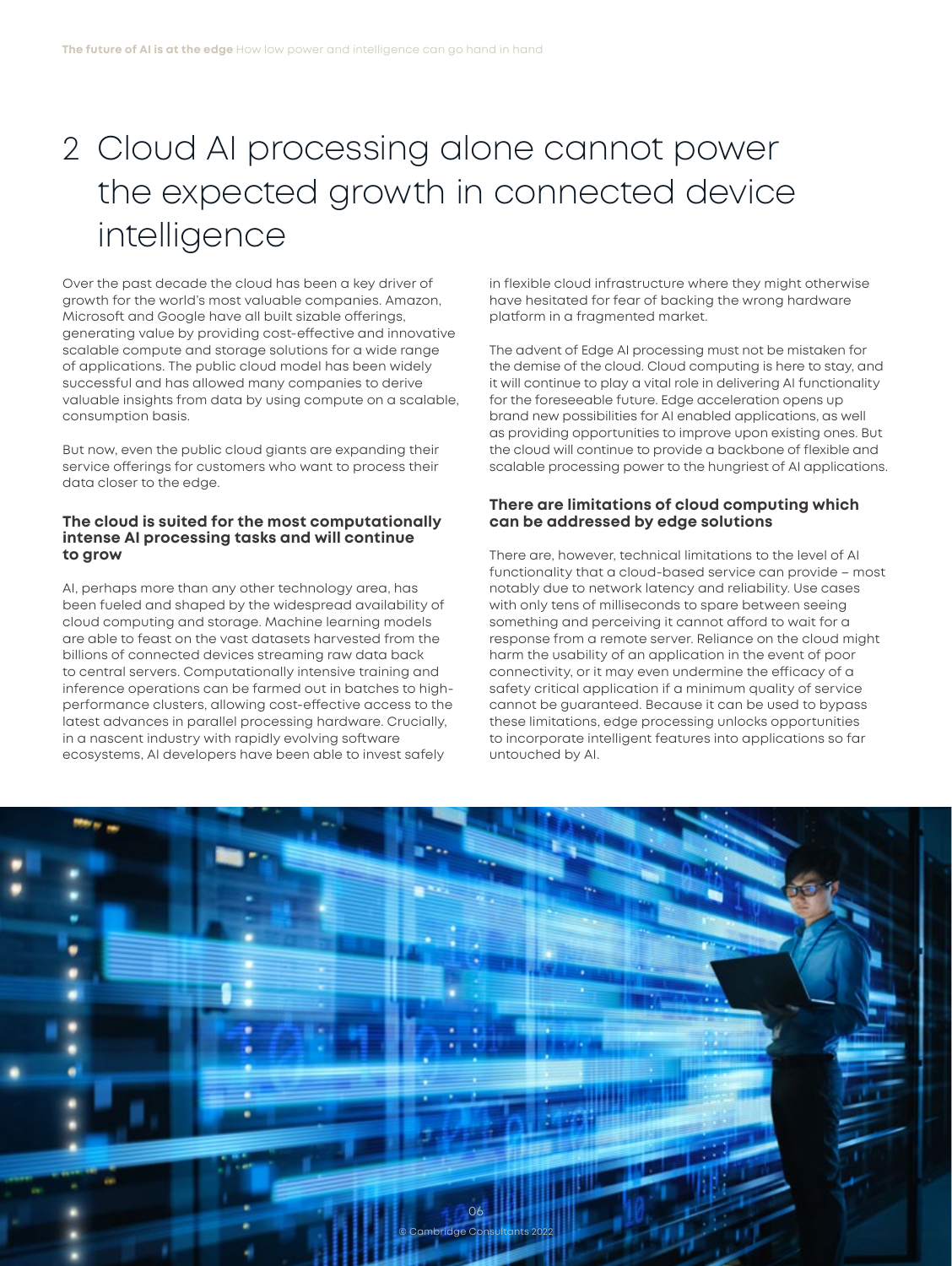# <span id="page-6-0"></span>2 Cloud AI processing alone cannot power the expected growth in connected device intelligence

Over the past decade the cloud has been a key driver of growth for the world's most valuable companies. Amazon, Microsoft and Google have all built sizable offerings, generating value by providing cost-effective and innovative scalable compute and storage solutions for a wide range of applications. The public cloud model has been widely successful and has allowed many companies to derive valuable insights from data by using compute on a scalable, consumption basis.

But now, even the public cloud giants are expanding their service offerings for customers who want to process their data closer to the edge.

### **The cloud is suited for the most computationally intense AI processing tasks and will continue to grow**

AI, perhaps more than any other technology area, has been fueled and shaped by the widespread availability of cloud computing and storage. Machine learning models are able to feast on the vast datasets harvested from the billions of connected devices streaming raw data back to central servers. Computationally intensive training and inference operations can be farmed out in batches to highperformance clusters, allowing cost-effective access to the latest advances in parallel processing hardware. Crucially, in a nascent industry with rapidly evolving software ecosystems, AI developers have been able to invest safely

in flexible cloud infrastructure where they might otherwise have hesitated for fear of backing the wrong hardware platform in a fragmented market.

The advent of Edge AI processing must not be mistaken for the demise of the cloud. Cloud computing is here to stay, and it will continue to play a vital role in delivering AI functionality for the foreseeable future. Edge acceleration opens up brand new possibilities for AI enabled applications, as well as providing opportunities to improve upon existing ones. But the cloud will continue to provide a backbone of flexible and scalable processing power to the hungriest of AI applications.

#### **There are limitations of cloud computing which can be addressed by edge solutions**

There are, however, technical limitations to the level of AI functionality that a cloud-based service can provide – most notably due to network latency and reliability. Use cases with only tens of milliseconds to spare between seeing something and perceiving it cannot afford to wait for a response from a remote server. Reliance on the cloud might harm the usability of an application in the event of poor connectivity, or it may even undermine the efficacy of a safety critical application if a minimum quality of service cannot be guaranteed. Because it can be used to bypass these limitations, edge processing unlocks opportunities to incorporate intelligent features into applications so far untouched by AI.

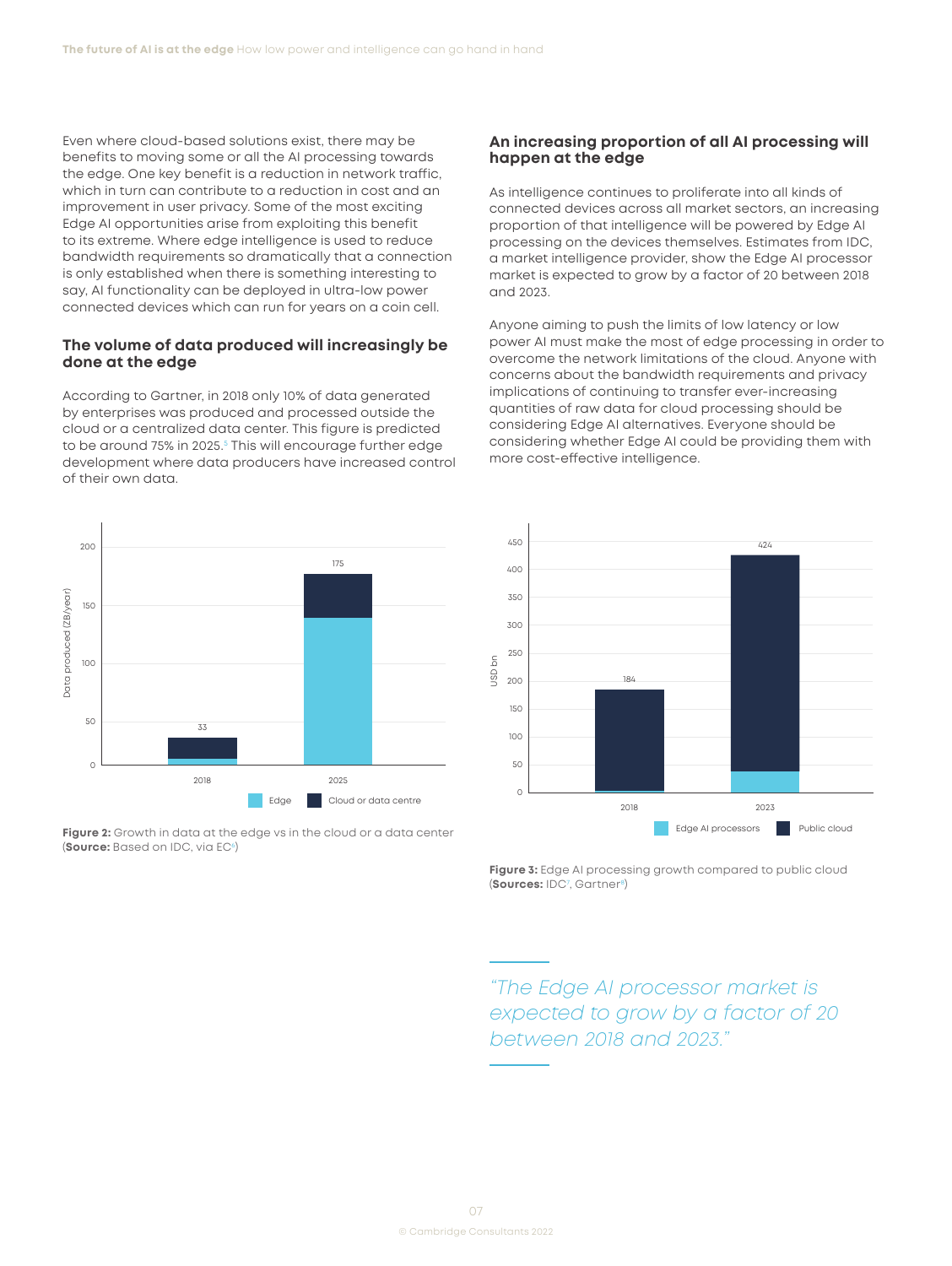<span id="page-7-0"></span>Even where cloud-based solutions exist, there may be benefits to moving some or all the AI processing towards the edge. One key benefit is a reduction in network traffic, which in turn can contribute to a reduction in cost and an improvement in user privacy. Some of the most exciting Edge AI opportunities arise from exploiting this benefit to its extreme. Where edge intelligence is used to reduce bandwidth requirements so dramatically that a connection is only established when there is something interesting to say, AI functionality can be deployed in ultra-low power connected devices which can run for years on a coin cell.

#### **The volume of data produced will increasingly be done at the edge**

According to Gartner, in 2018 only 10% of data generated by enterprises was produced and processed outside the cloud or a centralized data center. This figure is predicted to be around 7[5](#page-16-0)% in 2025.<sup>5</sup> This will encourage further edge development where data producers have increased control of their own data.



**Figure 2:** Growth in data at the edge vs in the cloud or a data center **(Source:** Based on IDC, via EC<sup>[6](#page-16-0)</sup>)

#### **An increasing proportion of all AI processing will happen at the edge**

As intelligence continues to proliferate into all kinds of connected devices across all market sectors, an increasing proportion of that intelligence will be powered by Edge AI processing on the devices themselves. Estimates from IDC, a market intelligence provider, show the Edge AI processor market is expected to grow by a factor of 20 between 2018 and 2023.

Anyone aiming to push the limits of low latency or low power AI must make the most of edge processing in order to overcome the network limitations of the cloud. Anyone with concerns about the bandwidth requirements and privacy implications of continuing to transfer ever-increasing quantities of raw data for cloud processing should be considering Edge AI alternatives. Everyone should be considering whether Edge AI could be providing them with more cost-effective intelligence.



**Figure 3:** Edge AI processing growth compared to public cloud (**Sources:** ID[C7](#page-16-0) , Gartne[r8\)](#page-16-0)

*"The Edge AI processor market is expected to grow by a factor of 20 between 2018 and 2023."*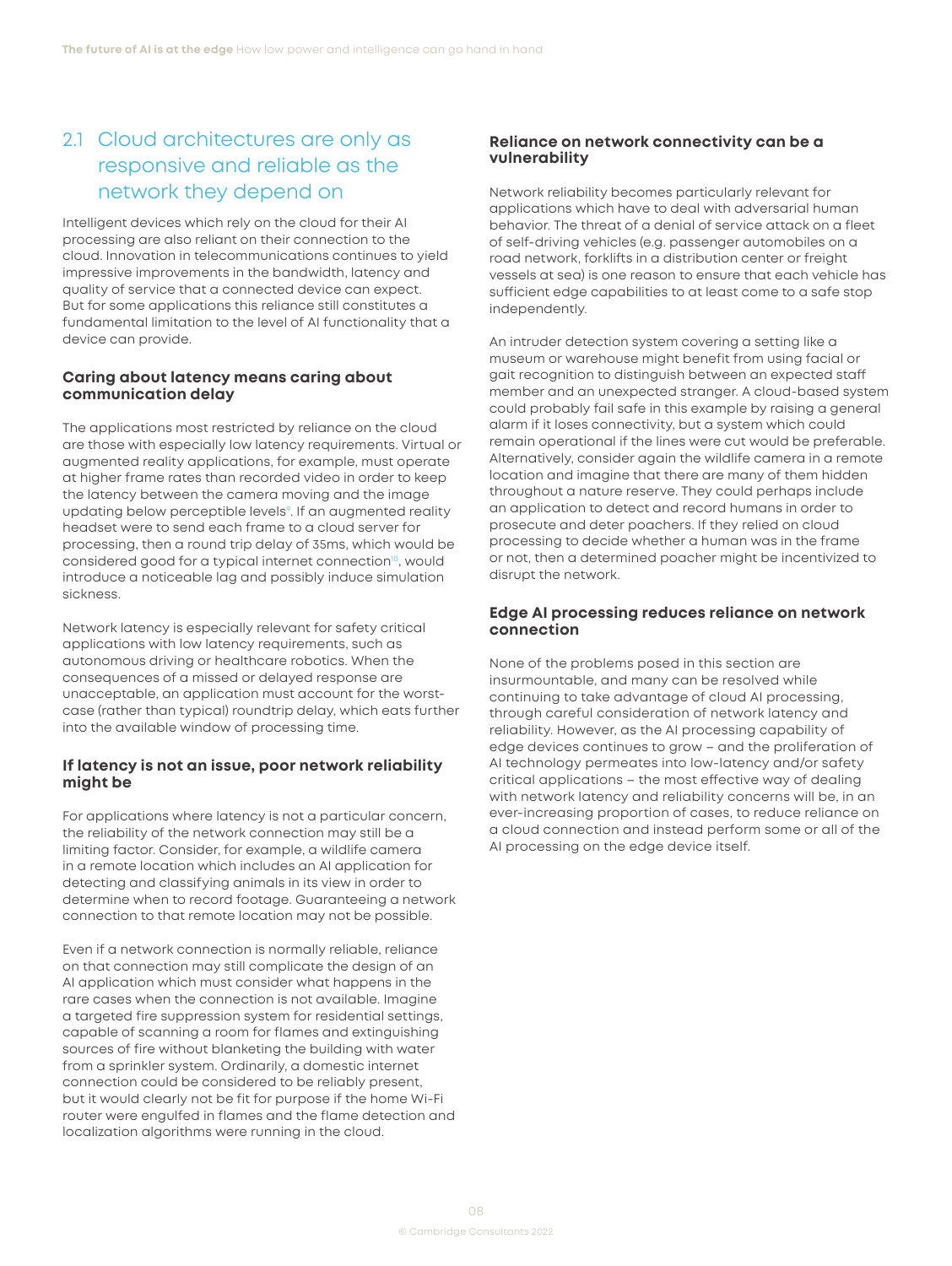## <span id="page-8-0"></span>2.1 Cloud architectures are only as responsive and reliable as the network they depend on

Intelligent devices which rely on the cloud for their AI processing are also reliant on their connection to the cloud. Innovation in telecommunications continues to yield impressive improvements in the bandwidth, latency and quality of service that a connected device can expect. But for some applications this reliance still constitutes a fundamental limitation to the level of AI functionality that a device can provide.

### **Caring about latency means caring about communication delay**

The applications most restricted by reliance on the cloud are those with especially low latency requirements. Virtual or augmented reality applications, for example, must operate at higher frame rates than recorded video in order to keep the latency between the camera moving and the image updating below perceptible levels<sup>9</sup>. If an augmented reality headset were to send each frame to a cloud server for processing, then a round trip delay of 35ms, which would be considered good for a typical internet connection<sup>[10](#page-16-0)</sup>, would introduce a noticeable lag and possibly induce simulation sickness.

Network latency is especially relevant for safety critical applications with low latency requirements, such as autonomous driving or healthcare robotics. When the consequences of a missed or delayed response are unacceptable, an application must account for the worstcase (rather than typical) roundtrip delay, which eats further into the available window of processing time.

### **If latency is not an issue, poor network reliability might be**

For applications where latency is not a particular concern, the reliability of the network connection may still be a limiting factor. Consider, for example, a wildlife camera in a remote location which includes an AI application for detecting and classifying animals in its view in order to determine when to record footage. Guaranteeing a network connection to that remote location may not be possible.

Even if a network connection is normally reliable, reliance on that connection may still complicate the design of an AI application which must consider what happens in the rare cases when the connection is not available. Imagine a targeted fire suppression system for residential settings, capable of scanning a room for flames and extinguishing sources of fire without blanketing the building with water from a sprinkler system. Ordinarily, a domestic internet connection could be considered to be reliably present, but it would clearly not be fit for purpose if the home Wi-Fi router were engulfed in flames and the flame detection and localization algorithms were running in the cloud.

### **Reliance on network connectivity can be a vulnerability**

Network reliability becomes particularly relevant for applications which have to deal with adversarial human behavior. The threat of a denial of service attack on a fleet of self-driving vehicles (e.g. passenger automobiles on a road network, forklifts in a distribution center or freight vessels at sea) is one reason to ensure that each vehicle has sufficient edge capabilities to at least come to a safe stop independently.

An intruder detection system covering a setting like a museum or warehouse might benefit from using facial or gait recognition to distinguish between an expected staff member and an unexpected stranger. A cloud-based system could probably fail safe in this example by raising a general alarm if it loses connectivity, but a system which could remain operational if the lines were cut would be preferable. Alternatively, consider again the wildlife camera in a remote location and imagine that there are many of them hidden throughout a nature reserve. They could perhaps include an application to detect and record humans in order to prosecute and deter poachers. If they relied on cloud processing to decide whether a human was in the frame or not, then a determined poacher might be incentivized to disrupt the network.

#### **Edge AI processing reduces reliance on network connection**

None of the problems posed in this section are insurmountable, and many can be resolved while continuing to take advantage of cloud AI processing, through careful consideration of network latency and reliability. However, as the AI processing capability of edge devices continues to grow – and the proliferation of AI technology permeates into low-latency and/or safety critical applications – the most effective way of dealing with network latency and reliability concerns will be, in an ever-increasing proportion of cases, to reduce reliance on a cloud connection and instead perform some or all of the AI processing on the edge device itself.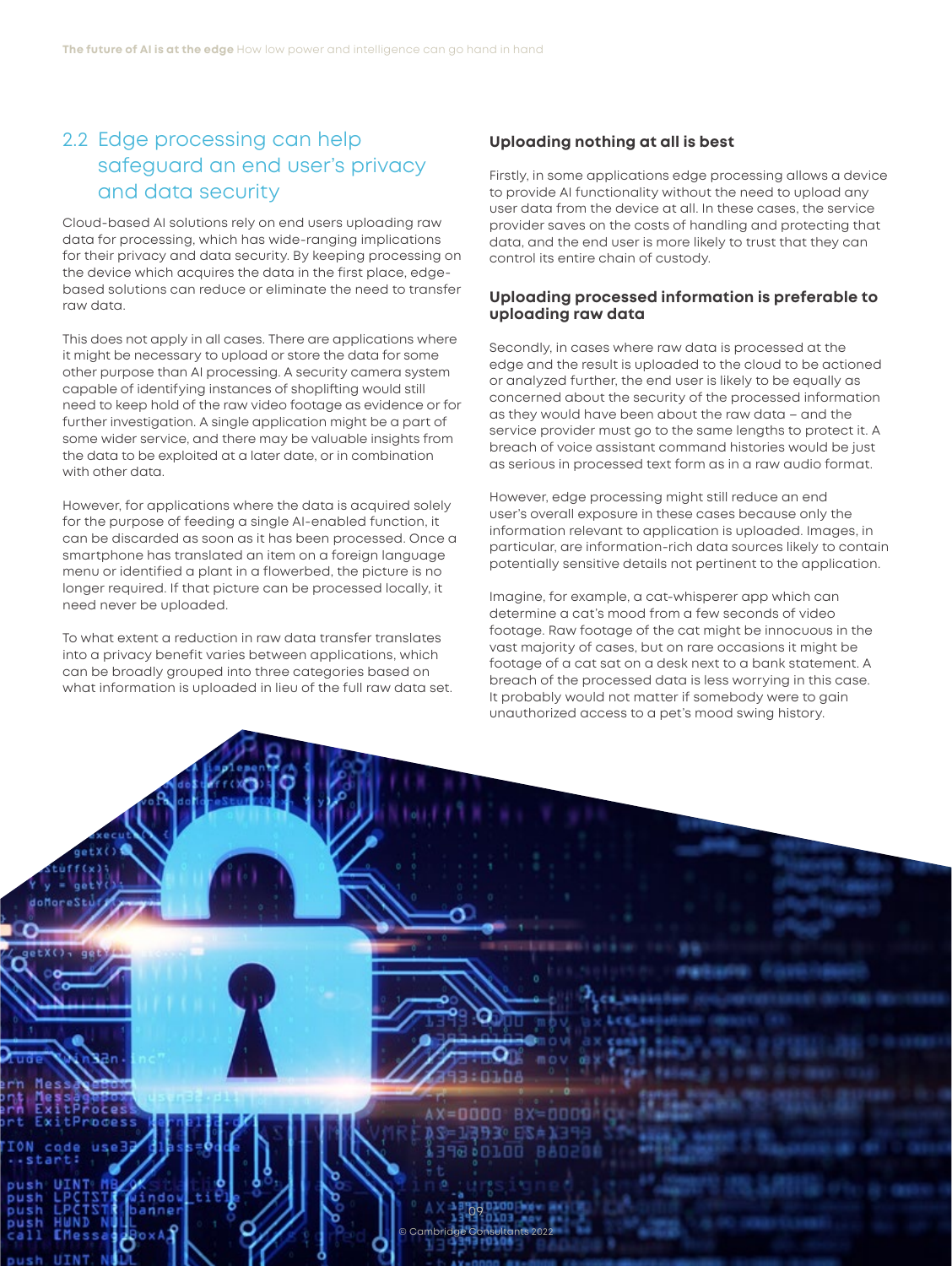## 2.2 Edge processing can help safeguard an end user's privacy and data security

Cloud-based AI solutions rely on end users uploading raw data for processing, which has wide-ranging implications for their privacy and data security. By keeping processing on the device which acquires the data in the first place, edgebased solutions can reduce or eliminate the need to transfer raw data.

This does not apply in all cases. There are applications where it might be necessary to upload or store the data for some other purpose than AI processing. A security camera system capable of identifying instances of shoplifting would still need to keep hold of the raw video footage as evidence or for further investigation. A single application might be a part of some wider service, and there may be valuable insights from the data to be exploited at a later date, or in combination with other data.

However, for applications where the data is acquired solely for the purpose of feeding a single AI-enabled function, it can be discarded as soon as it has been processed. Once a smartphone has translated an item on a foreign language menu or identified a plant in a flowerbed, the picture is no longer required. If that picture can be processed locally, it need never be uploaded.

To what extent a reduction in raw data transfer translates into a privacy benefit varies between applications, which can be broadly grouped into three categories based on what information is uploaded in lieu of the full raw data set.

### **Uploading nothing at all is best**

Firstly, in some applications edge processing allows a device to provide AI functionality without the need to upload any user data from the device at all. In these cases, the service provider saves on the costs of handling and protecting that data, and the end user is more likely to trust that they can control its entire chain of custody.

#### **Uploading processed information is preferable to uploading raw data**

Secondly, in cases where raw data is processed at the edge and the result is uploaded to the cloud to be actioned or analyzed further, the end user is likely to be equally as concerned about the security of the processed information as they would have been about the raw data – and the service provider must go to the same lengths to protect it. A breach of voice assistant command histories would be just as serious in processed text form as in a raw audio format.

However, edge processing might still reduce an end user's overall exposure in these cases because only the information relevant to application is uploaded. Images, in particular, are information-rich data sources likely to contain potentially sensitive details not pertinent to the application.

Imagine, for example, a cat-whisperer app which can determine a cat's mood from a few seconds of video footage. Raw footage of the cat might be innocuous in the vast majority of cases, but on rare occasions it might be footage of a cat sat on a desk next to a bank statement. A breach of the processed data is less worrying in this case. It probably would not matter if somebody were to gain unauthorized access to a pet's mood swing history.

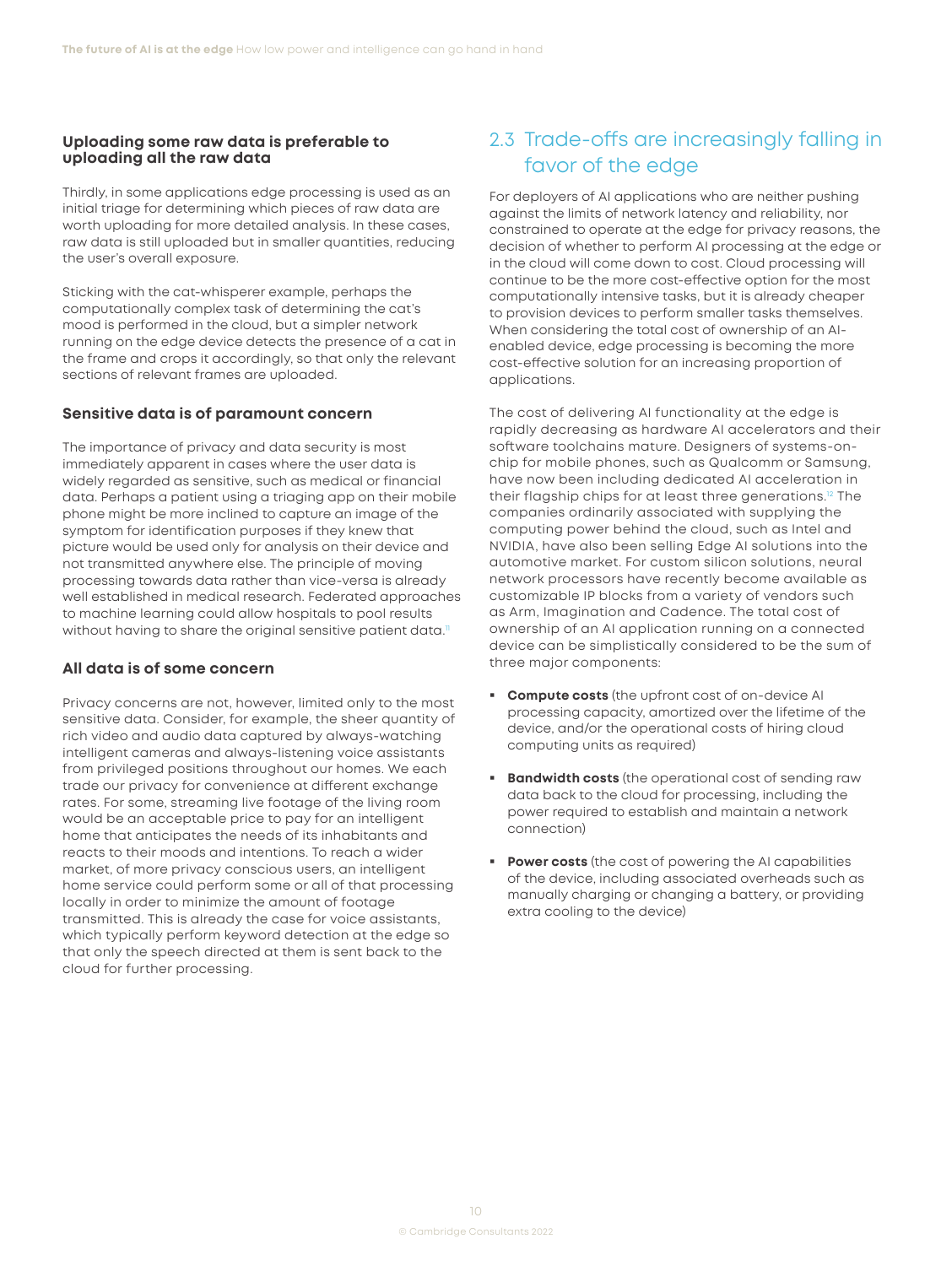### <span id="page-10-0"></span>**Uploading some raw data is preferable to uploading all the raw data**

Thirdly, in some applications edge processing is used as an initial triage for determining which pieces of raw data are worth uploading for more detailed analysis. In these cases, raw data is still uploaded but in smaller quantities, reducing the user's overall exposure.

Sticking with the cat-whisperer example, perhaps the computationally complex task of determining the cat's mood is performed in the cloud, but a simpler network running on the edge device detects the presence of a cat in the frame and crops it accordingly, so that only the relevant sections of relevant frames are uploaded.

### **Sensitive data is of paramount concern**

The importance of privacy and data security is most immediately apparent in cases where the user data is widely regarded as sensitive, such as medical or financial data. Perhaps a patient using a triaging app on their mobile phone might be more inclined to capture an image of the symptom for identification purposes if they knew that picture would be used only for analysis on their device and not transmitted anywhere else. The principle of moving processing towards data rather than vice-versa is already well established in medical research. Federated approaches to machine learning could allow hospitals to pool results without having to share the original sensitive patient data.<sup>[11](#page-16-0)</sup>

## **All data is of some concern**

Privacy concerns are not, however, limited only to the most sensitive data. Consider, for example, the sheer quantity of rich video and audio data captured by always-watching intelligent cameras and always-listening voice assistants from privileged positions throughout our homes. We each trade our privacy for convenience at different exchange rates. For some, streaming live footage of the living room would be an acceptable price to pay for an intelligent home that anticipates the needs of its inhabitants and reacts to their moods and intentions. To reach a wider market, of more privacy conscious users, an intelligent home service could perform some or all of that processing locally in order to minimize the amount of footage transmitted. This is already the case for voice assistants, which typically perform keyword detection at the edge so that only the speech directed at them is sent back to the cloud for further processing.

# 2.3 Trade-offs are increasingly falling in favor of the edge

For deployers of AI applications who are neither pushing against the limits of network latency and reliability, nor constrained to operate at the edge for privacy reasons, the decision of whether to perform AI processing at the edge or in the cloud will come down to cost. Cloud processing will continue to be the more cost-effective option for the most computationally intensive tasks, but it is already cheaper to provision devices to perform smaller tasks themselves. When considering the total cost of ownership of an AIenabled device, edge processing is becoming the more cost-effective solution for an increasing proportion of applications.

The cost of delivering AI functionality at the edge is rapidly decreasing as hardware AI accelerators and their software toolchains mature. Designers of systems-onchip for mobile phones, such as Qualcomm or Samsung, have now been including dedicated AI acceleration in their flagship chips for at least three generations[.12](#page-16-0) The companies ordinarily associated with supplying the computing power behind the cloud, such as Intel and NVIDIA, have also been selling Edge AI solutions into the automotive market. For custom silicon solutions, neural network processors have recently become available as customizable IP blocks from a variety of vendors such as Arm, Imagination and Cadence. The total cost of ownership of an AI application running on a connected device can be simplistically considered to be the sum of three major components:

- **Compute costs** (the upfront cost of on-device AI processing capacity, amortized over the lifetime of the device, and/or the operational costs of hiring cloud computing units as required)
- **Bandwidth costs** (the operational cost of sending raw data back to the cloud for processing, including the power required to establish and maintain a network connection)
- **Power costs** (the cost of powering the AI capabilities of the device, including associated overheads such as manually charging or changing a battery, or providing extra cooling to the device)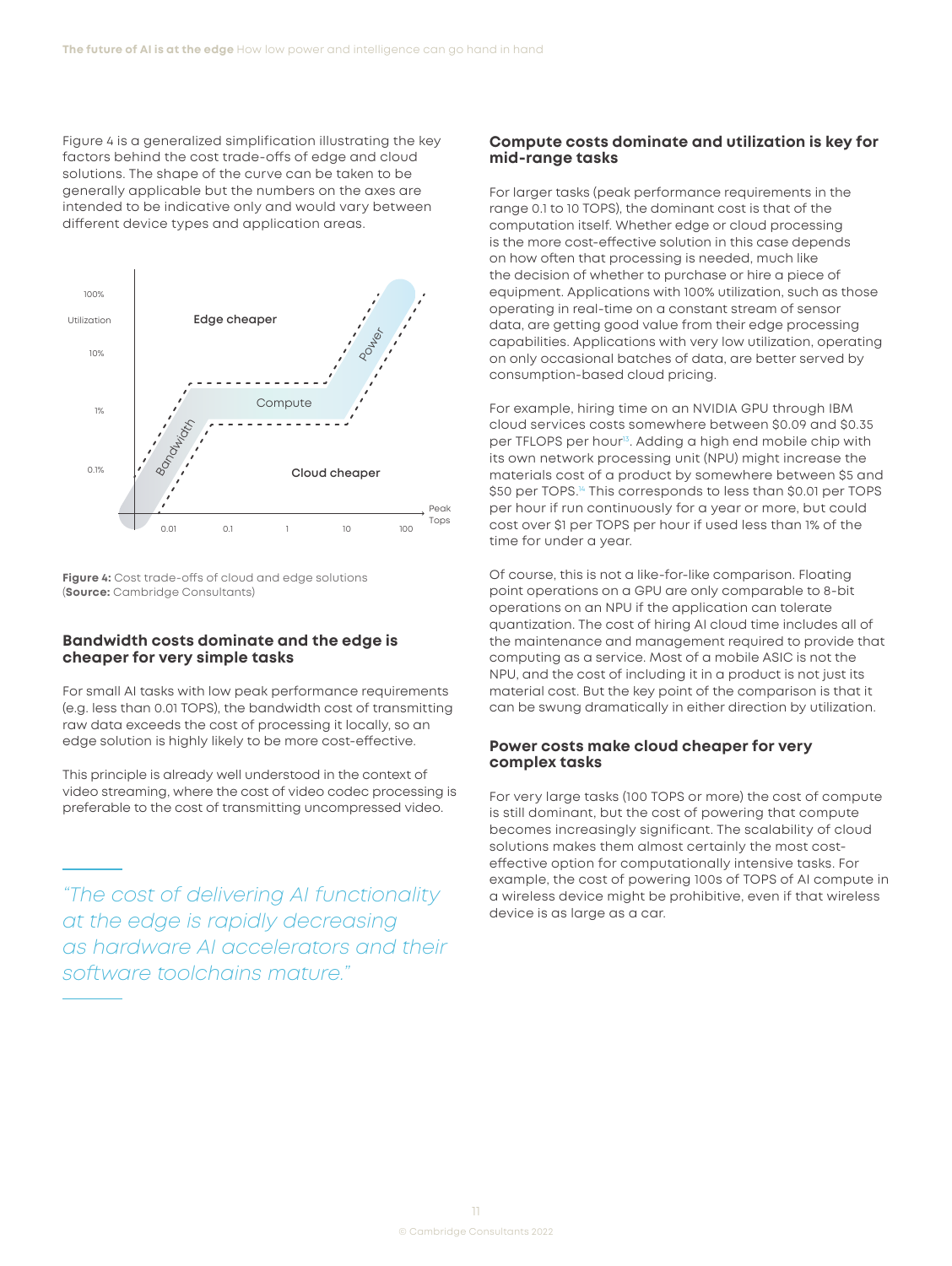<span id="page-11-0"></span>Figure 4 is a generalized simplification illustrating the key factors behind the cost trade-offs of edge and cloud solutions. The shape of the curve can be taken to be generally applicable but the numbers on the axes are intended to be indicative only and would vary between different device types and application areas.



**Figure 4:** Cost trade-offs of cloud and edge solutions (**Source:** Cambridge Consultants)

#### **Bandwidth costs dominate and the edge is cheaper for very simple tasks**

For small AI tasks with low peak performance requirements (e.g. less than 0.01 TOPS), the bandwidth cost of transmitting raw data exceeds the cost of processing it locally, so an edge solution is highly likely to be more cost-effective.

This principle is already well understood in the context of video streaming, where the cost of video codec processing is preferable to the cost of transmitting uncompressed video.

*"The cost of delivering AI functionality at the edge is rapidly decreasing as hardware AI accelerators and their software toolchains mature."* 

#### **Compute costs dominate and utilization is key for mid-range tasks**

For larger tasks (peak performance requirements in the range 0.1 to 10 TOPS), the dominant cost is that of the computation itself. Whether edge or cloud processing is the more cost-effective solution in this case depends on how often that processing is needed, much like the decision of whether to purchase or hire a piece of equipment. Applications with 100% utilization, such as those operating in real-time on a constant stream of sensor data, are getting good value from their edge processing capabilities. Applications with very low utilization, operating on only occasional batches of data, are better served by consumption-based cloud pricing.

For example, hiring time on an NVIDIA GPU through IBM cloud services costs somewhere between \$0.09 and \$0.35 per TFLOPS per hour<sup>13</sup>. Adding a high end mobile chip with its own network processing unit (NPU) might increase the materials cost of a product by somewhere between \$5 and \$50 per TOPS.<sup>[14](#page-16-0)</sup> This corresponds to less than \$0.01 per TOPS per hour if run continuously for a year or more, but could cost over \$1 per TOPS per hour if used less than 1% of the time for under a year.

Of course, this is not a like-for-like comparison. Floating point operations on a GPU are only comparable to 8-bit operations on an NPU if the application can tolerate quantization. The cost of hiring AI cloud time includes all of the maintenance and management required to provide that computing as a service. Most of a mobile ASIC is not the NPU, and the cost of including it in a product is not just its material cost. But the key point of the comparison is that it can be swung dramatically in either direction by utilization.

#### **Power costs make cloud cheaper for very complex tasks**

For very large tasks (100 TOPS or more) the cost of compute is still dominant, but the cost of powering that compute becomes increasingly significant. The scalability of cloud solutions makes them almost certainly the most costeffective option for computationally intensive tasks. For example, the cost of powering 100s of TOPS of AI compute in a wireless device might be prohibitive, even if that wireless device is as large as a car.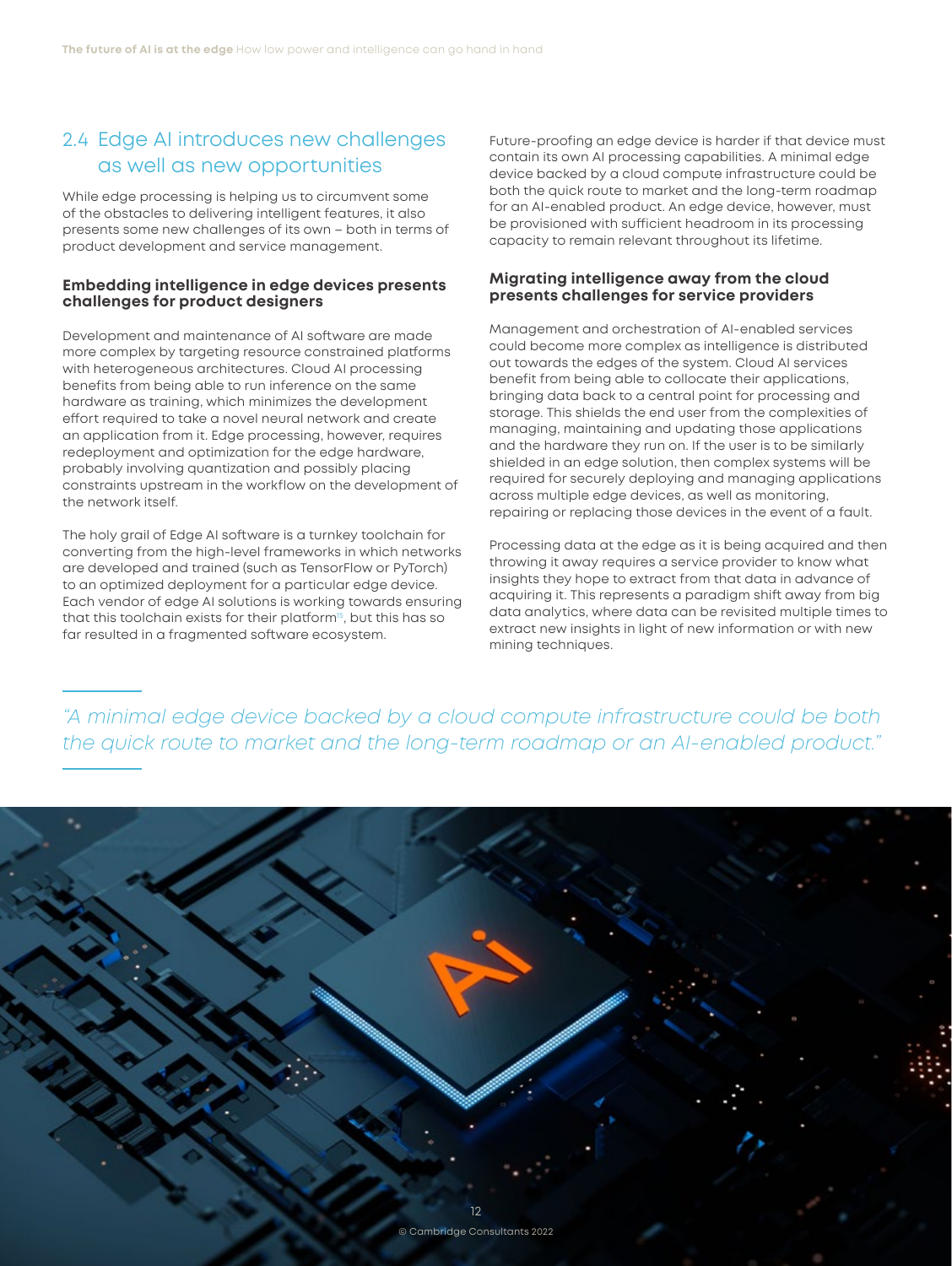## <span id="page-12-0"></span>2.4 Edge AI introduces new challenges as well as new opportunities

While edge processing is helping us to circumvent some of the obstacles to delivering intelligent features, it also presents some new challenges of its own – both in terms of product development and service management.

#### **Embedding intelligence in edge devices presents challenges for product designers**

Development and maintenance of AI software are made more complex by targeting resource constrained platforms with heterogeneous architectures. Cloud AI processing benefits from being able to run inference on the same hardware as training, which minimizes the development effort required to take a novel neural network and create an application from it. Edge processing, however, requires redeployment and optimization for the edge hardware, probably involving quantization and possibly placing constraints upstream in the workflow on the development of the network itself.

The holy grail of Edge AI software is a turnkey toolchain for converting from the high-level frameworks in which networks are developed and trained (such as TensorFlow or PyTorch) to an optimized deployment for a particular edge device. Each vendor of edge AI solutions is working towards ensuring that this toolchain exists for their platform<sup>15</sup>, but this has so far resulted in a fragmented software ecosystem.

Future-proofing an edge device is harder if that device must contain its own AI processing capabilities. A minimal edge device backed by a cloud compute infrastructure could be both the quick route to market and the long-term roadmap for an AI-enabled product. An edge device, however, must be provisioned with sufficient headroom in its processing capacity to remain relevant throughout its lifetime.

### **Migrating intelligence away from the cloud presents challenges for service providers**

Management and orchestration of AI-enabled services could become more complex as intelligence is distributed out towards the edges of the system. Cloud AI services benefit from being able to collocate their applications, bringing data back to a central point for processing and storage. This shields the end user from the complexities of managing, maintaining and updating those applications and the hardware they run on. If the user is to be similarly shielded in an edge solution, then complex systems will be required for securely deploying and managing applications across multiple edge devices, as well as monitoring, repairing or replacing those devices in the event of a fault.

Processing data at the edge as it is being acquired and then throwing it away requires a service provider to know what insights they hope to extract from that data in advance of acquiring it. This represents a paradigm shift away from big data analytics, where data can be revisited multiple times to extract new insights in light of new information or with new mining techniques.

*"A minimal edge device backed by a cloud compute infrastructure could be both the quick route to market and the long-term roadmap or an AI-enabled product."*

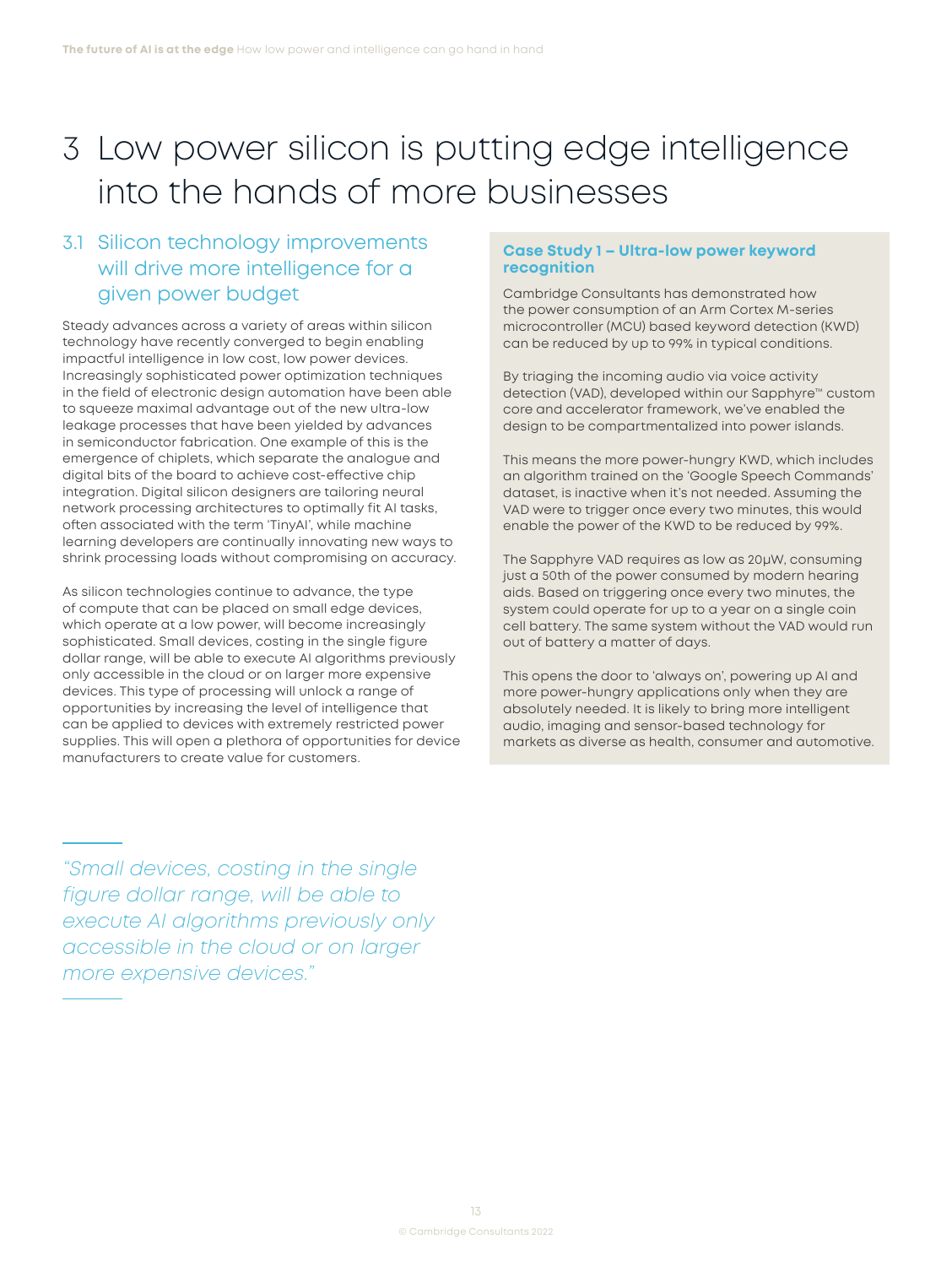# <span id="page-13-0"></span>3 Low power silicon is putting edge intelligence into the hands of more businesses

## 3.1 Silicon technology improvements will drive more intelligence for a given power budget

Steady advances across a variety of areas within silicon technology have recently converged to begin enabling impactful intelligence in low cost, low power devices. Increasingly sophisticated power optimization techniques in the field of electronic design automation have been able to squeeze maximal advantage out of the new ultra-low leakage processes that have been yielded by advances in semiconductor fabrication. One example of this is the emergence of chiplets, which separate the analogue and digital bits of the board to achieve cost-effective chip integration. Digital silicon designers are tailoring neural network processing architectures to optimally fit AI tasks, often associated with the term 'TinyAI', while machine learning developers are continually innovating new ways to shrink processing loads without compromising on accuracy.

As silicon technologies continue to advance, the type of compute that can be placed on small edge devices, which operate at a low power, will become increasingly sophisticated. Small devices, costing in the single figure dollar range, will be able to execute AI algorithms previously only accessible in the cloud or on larger more expensive devices. This type of processing will unlock a range of opportunities by increasing the level of intelligence that can be applied to devices with extremely restricted power supplies. This will open a plethora of opportunities for device manufacturers to create value for customers.

### **Case Study 1 – Ultra-low power keyword recognition**

Cambridge Consultants has demonstrated how the power consumption of an Arm Cortex M-series microcontroller (MCU) based keyword detection (KWD) can be reduced by up to 99% in typical conditions.

By triaging the incoming audio via voice activity detection (VAD), developed within our Sapphyre™ custom core and accelerator framework, we've enabled the design to be compartmentalized into power islands.

This means the more power-hungry KWD, which includes an algorithm trained on the 'Google Speech Commands' dataset, is inactive when it's not needed. Assuming the VAD were to trigger once every two minutes, this would enable the power of the KWD to be reduced by 99%.

The Sapphyre VAD requires as low as 20µW, consuming just a 50th of the power consumed by modern hearing aids. Based on triggering once every two minutes, the system could operate for up to a year on a single coin cell battery. The same system without the VAD would run out of battery a matter of days.

This opens the door to 'always on', powering up AI and more power-hungry applications only when they are absolutely needed. It is likely to bring more intelligent audio, imaging and sensor-based technology for markets as diverse as health, consumer and automotive.

*"Small devices, costing in the single figure dollar range, will be able to execute AI algorithms previously only accessible in the cloud or on larger more expensive devices."*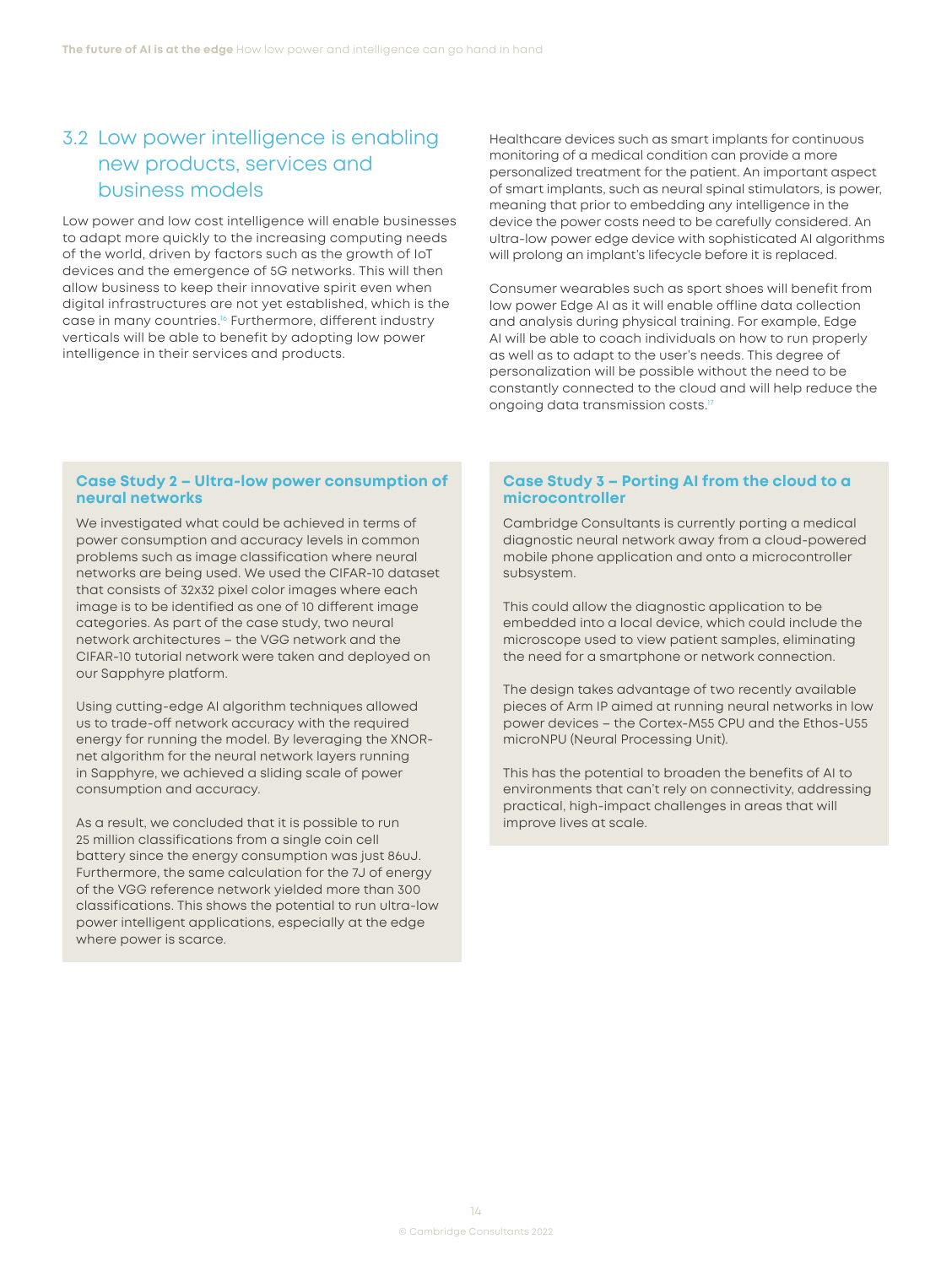## <span id="page-14-0"></span>3.2 Low power intelligence is enabling new products, services and business models

Low power and low cost intelligence will enable businesses to adapt more quickly to the increasing computing needs of the world, driven by factors such as the growth of IoT devices and the emergence of 5G networks. This will then allow business to keep their innovative spirit even when digital infrastructures are not yet established, which is the case in many countries.<sup>[16](#page-16-0)</sup> Furthermore, different industry verticals will be able to benefit by adopting low power intelligence in their services and products.

Healthcare devices such as smart implants for continuous monitoring of a medical condition can provide a more personalized treatment for the patient. An important aspect of smart implants, such as neural spinal stimulators, is power, meaning that prior to embedding any intelligence in the device the power costs need to be carefully considered. An ultra-low power edge device with sophisticated AI algorithms will prolong an implant's lifecycle before it is replaced.

Consumer wearables such as sport shoes will benefit from low power Edge AI as it will enable offline data collection and analysis during physical training. For example, Edge AI will be able to coach individuals on how to run properly as well as to adapt to the user's needs. This degree of personalization will be possible without the need to be constantly connected to the cloud and will help reduce the ongoing data transmission costs.<sup>[17](#page-16-0)</sup>

#### **Case Study 2 – Ultra-low power consumption of neural networks**

We investigated what could be achieved in terms of power consumption and accuracy levels in common problems such as image classification where neural networks are being used. We used the CIFAR-10 dataset that consists of 32x32 pixel color images where each image is to be identified as one of 10 different image categories. As part of the case study, two neural network architectures – the VGG network and the CIFAR-10 tutorial network were taken and deployed on our Sapphyre platform.

Using cutting-edge AI algorithm techniques allowed us to trade-off network accuracy with the required energy for running the model. By leveraging the XNORnet algorithm for the neural network layers running in Sapphyre, we achieved a sliding scale of power consumption and accuracy.

As a result, we concluded that it is possible to run 25 million classifications from a single coin cell battery since the energy consumption was just 86uJ. Furthermore, the same calculation for the 7J of energy of the VGG reference network yielded more than 300 classifications. This shows the potential to run ultra-low power intelligent applications, especially at the edge where power is scarce.

### **Case Study 3 – Porting AI from the cloud to a microcontroller**

Cambridge Consultants is currently porting a medical diagnostic neural network away from a cloud-powered mobile phone application and onto a microcontroller subsystem.

This could allow the diagnostic application to be embedded into a local device, which could include the microscope used to view patient samples, eliminating the need for a smartphone or network connection.

The design takes advantage of two recently available pieces of Arm IP aimed at running neural networks in low power devices – the Cortex-M55 CPU and the Ethos-U55 microNPU (Neural Processing Unit).

This has the potential to broaden the benefits of AI to environments that can't rely on connectivity, addressing practical, high-impact challenges in areas that will improve lives at scale.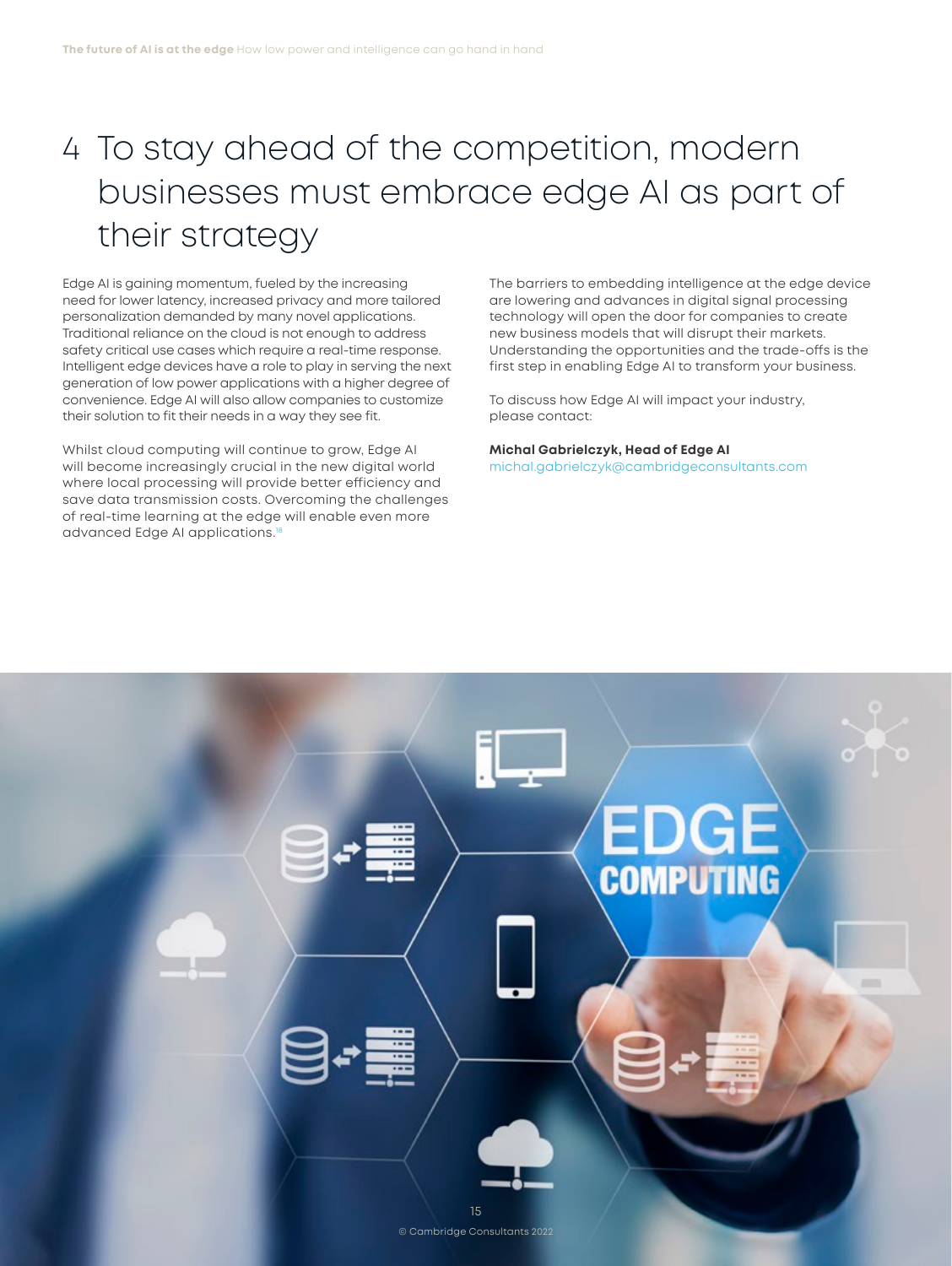# <span id="page-15-0"></span>4 To stay ahead of the competition, modern businesses must embrace edge AI as part of their strategy

Edge AI is gaining momentum, fueled by the increasing need for lower latency, increased privacy and more tailored personalization demanded by many novel applications. Traditional reliance on the cloud is not enough to address safety critical use cases which require a real-time response. Intelligent edge devices have a role to play in serving the next generation of low power applications with a higher degree of convenience. Edge AI will also allow companies to customize their solution to fit their needs in a way they see fit.

Whilst cloud computing will continue to grow, Edge AI will become increasingly crucial in the new digital world where local processing will provide better efficiency and save data transmission costs. Overcoming the challenges of real-time learning at the edge will enable even more advanced Edge AI applications[.18](#page-16-0)

The barriers to embedding intelligence at the edge device are lowering and advances in digital signal processing technology will open the door for companies to create new business models that will disrupt their markets. Understanding the opportunities and the trade-offs is the first step in enabling Edge AI to transform your business.

To discuss how Edge AI will impact your industry, please contact:

**Michal Gabrielczyk, Head of Edge AI** [michal.gabrielczyk@cambridgeconsultants.com](mailto:michal.gabrielczyk@cambridgeconsultants.com)

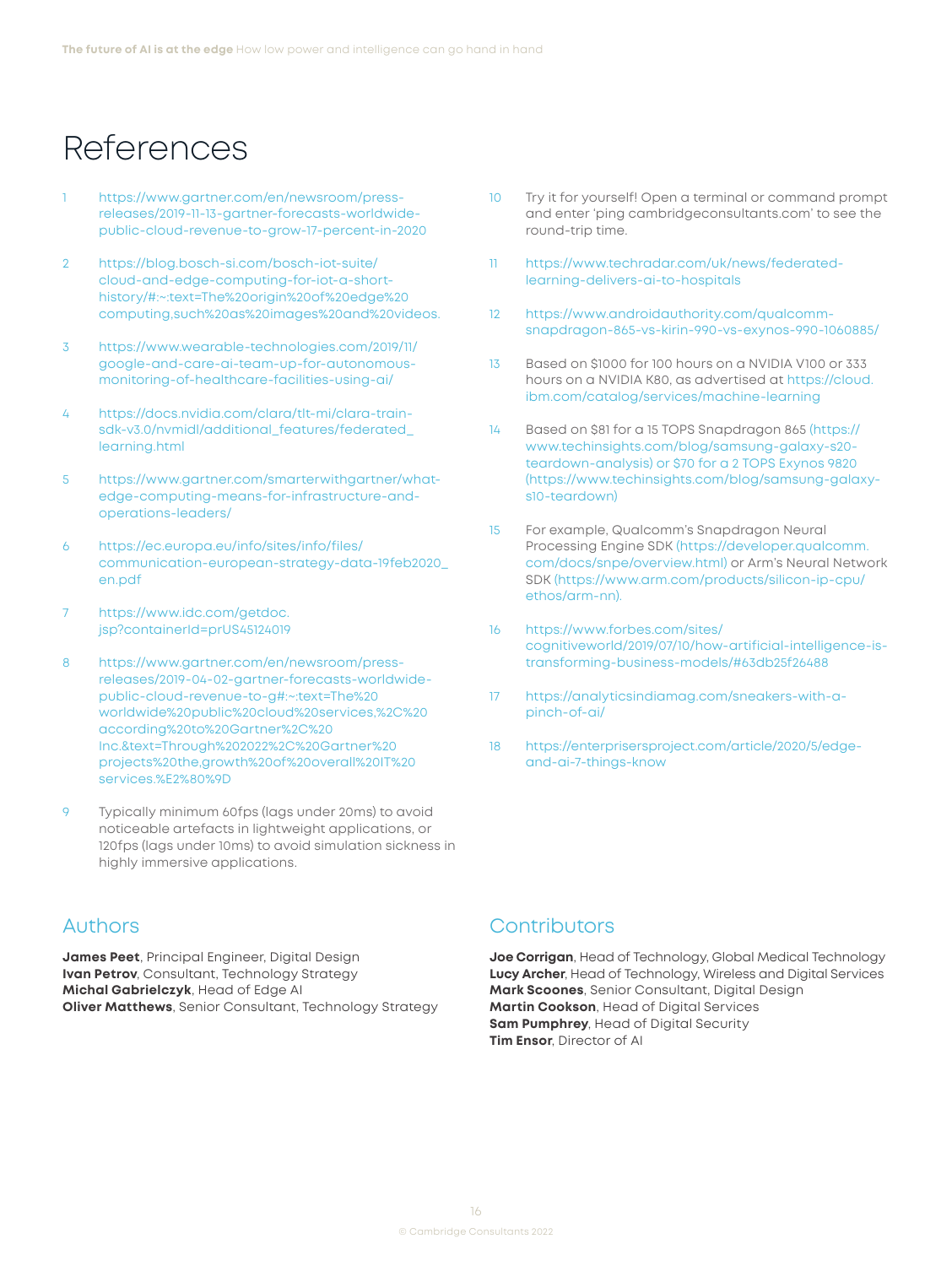# <span id="page-16-0"></span>References

- [1](#page-3-0) [https://www.gartner.com/en/newsroom/press](https://www.gartner.com/en/newsroom/press-releases/2019-11-13-gartner-forecasts-worldwide-public-cloud-revenue-to-grow-17-percent-in-2020)[releases/2019-11-13-gartner-forecasts-worldwide](https://www.gartner.com/en/newsroom/press-releases/2019-11-13-gartner-forecasts-worldwide-public-cloud-revenue-to-grow-17-percent-in-2020)[public-cloud-revenue-to-grow-17-percent-in-2020](https://www.gartner.com/en/newsroom/press-releases/2019-11-13-gartner-forecasts-worldwide-public-cloud-revenue-to-grow-17-percent-in-2020)
- [2](#page-3-0) [https://blog.bosch-si.com/bosch-iot-suite/](https://blog.bosch-si.com/bosch-iot-suite/cloud-and-edge-computing-for-iot-a-short-history/#) [cloud-and-edge-computing-for-iot-a-short](https://blog.bosch-si.com/bosch-iot-suite/cloud-and-edge-computing-for-iot-a-short-history/#)[history/#:](https://blog.bosch-si.com/bosch-iot-suite/cloud-and-edge-computing-for-iot-a-short-history/#)~:text=The%20origin%20of%20edge%20 computing,such%20as%20images%20and%20videos.
- [3](#page-5-0) [https://www.wearable-technologies.com/2019/11/](https://www.wearable-technologies.com/2019/11/google-and-care-ai-team-up-for-autonomous-monitoring-of-healthcare-facilities-using-ai/) [google-and-care-ai-team-up-for-autonomous](https://www.wearable-technologies.com/2019/11/google-and-care-ai-team-up-for-autonomous-monitoring-of-healthcare-facilities-using-ai/)[monitoring-of-healthcare-facilities-using-ai/](https://www.wearable-technologies.com/2019/11/google-and-care-ai-team-up-for-autonomous-monitoring-of-healthcare-facilities-using-ai/)
- [4](#page-5-0) [https://docs.nvidia.com/clara/tlt-mi/clara-train](https://docs.nvidia.com/clara/tlt-mi/clara-train-sdk-v3.0/nvmidl/additional_features/federated_learning.html)[sdk-v3.0/nvmidl/additional\\_features/federated\\_](https://docs.nvidia.com/clara/tlt-mi/clara-train-sdk-v3.0/nvmidl/additional_features/federated_learning.html) [learning.html](https://docs.nvidia.com/clara/tlt-mi/clara-train-sdk-v3.0/nvmidl/additional_features/federated_learning.html)
- [5](#page-7-0) [https://www.gartner.com/smarterwithgartner/what](https://www.gartner.com/smarterwithgartner/what-edge-computing-means-for-infrastructure-and-operations-leaders/)[edge-computing-means-for-infrastructure-and](https://www.gartner.com/smarterwithgartner/what-edge-computing-means-for-infrastructure-and-operations-leaders/)[operations-leaders/](https://www.gartner.com/smarterwithgartner/what-edge-computing-means-for-infrastructure-and-operations-leaders/)
- [6](#page-7-0) [https://ec.europa.eu/info/sites/info/files/](https://ec.europa.eu/info/sites/info/files/communication-european-strategy-data-19feb2020_en.pdf) [communication-european-strategy-data-19feb2020\\_](https://ec.europa.eu/info/sites/info/files/communication-european-strategy-data-19feb2020_en.pdf) [en.pdf](https://ec.europa.eu/info/sites/info/files/communication-european-strategy-data-19feb2020_en.pdf)
- [7](#page-7-0) [https://www.idc.com/getdoc.](https://www.idc.com/getdoc.jsp?containerId=prUS45124019) [jsp?containerId=prUS45124019](https://www.idc.com/getdoc.jsp?containerId=prUS45124019)
- [8](#page-7-0) [https://www.gartner.com/en/newsroom/press](https://www.gartner.com/en/newsroom/press-releases/2019-04-02-gartner-forecasts-worldwide-public-cloud-revenue-to-g#)[releases/2019-04-02-gartner-forecasts-worldwide](https://www.gartner.com/en/newsroom/press-releases/2019-04-02-gartner-forecasts-worldwide-public-cloud-revenue-to-g#)[public-cloud-revenue-to-g#](https://www.gartner.com/en/newsroom/press-releases/2019-04-02-gartner-forecasts-worldwide-public-cloud-revenue-to-g#):~:text=The%20 worldwide%20public%20cloud%20services,%2C%20 according%20to%20Gartner%2C%20 Inc.&text=Through%202022%2C%20Gartner%20 projects%20the,growth%20of%20overall%20IT%20 services.%E2%80%9D
- [9](#page-8-0) Typically minimum 60fps (lags under 20ms) to avoid noticeable artefacts in lightweight applications, or 120fps (lags under 10ms) to avoid simulation sickness in highly immersive applications.
- Authors

**James Peet**, Principal Engineer, Digital Design **Ivan Petrov**, Consultant, Technology Strategy **Michal Gabrielczyk**, Head of Edge AI **Oliver Matthews**, Senior Consultant, Technology Strategy

- [10](#page-8-0) Try it for yourself! Open a terminal or command prompt and enter 'ping [cambridgeconsultants.com](http://cambridgeconsultants.com)' to see the round-trip time.
- [11](#page-10-0) [https://www.techradar.com/uk/news/federated](https://www.techradar.com/uk/news/federated-learning-delivers-ai-to-hospitals)[learning-delivers-ai-to-hospitals](https://www.techradar.com/uk/news/federated-learning-delivers-ai-to-hospitals)
- [12](#page-10-0) [https://www.androidauthority.com/qualcomm](https://www.androidauthority.com/qualcomm-snapdragon-865-vs-kirin-990-vs-exynos-990-1060885/)[snapdragon-865-vs-kirin-990-vs-exynos-990-1060885/](https://www.androidauthority.com/qualcomm-snapdragon-865-vs-kirin-990-vs-exynos-990-1060885/)
- [13](#page-11-0) Based on \$1000 for 100 hours on a NVIDIA V100 or 333 hours on a NVIDIA K80, as advertised at [https://cloud.](https://cloud.ibm.com/catalog/services/machine-learning) [ibm.com/catalog/services/machine-learning](https://cloud.ibm.com/catalog/services/machine-learning)
- [14](#page-11-0) Based on \$81 for a 15 TOPS Snapdragon 865 ([https://](https://www.techinsights.com/blog/samsung-galaxy-s20-teardown-analysis) [www.techinsights.com/blog/samsung-galaxy-s20](https://www.techinsights.com/blog/samsung-galaxy-s20-teardown-analysis) [teardown-analysis](https://www.techinsights.com/blog/samsung-galaxy-s20-teardown-analysis)) or \$70 for a 2 TOPS Exynos 9820 [\(https://www.techinsights.com/blog/samsung-galaxy](https://www.techinsights.com/blog/samsung-galaxy-s10-teardown)[s10-teardown](https://www.techinsights.com/blog/samsung-galaxy-s10-teardown))
- [15](#page-12-0) For example, Qualcomm's Snapdragon Neural Processing Engine SDK [\(https://developer.qualcomm.](https://developer.qualcomm.com/docs/snpe/overview.html) [com/docs/snpe/overview.html\)](https://developer.qualcomm.com/docs/snpe/overview.html) or Arm's Neural Network SDK [\(https://www.arm.com/products/silicon-ip-cpu/](https://www.arm.com/products/silicon-ip-cpu/ethos/arm-nn) [ethos/arm-nn](https://www.arm.com/products/silicon-ip-cpu/ethos/arm-nn)).
- [16](#page-14-0) [https://www.forbes.com/sites/](https://www.forbes.com/sites/cognitiveworld/2019/07/10/how-artificial-intelligence-is-transforming-business-models/#63db25f26488) [cognitiveworld/2019/07/10/how-artificial-intelligence-is](https://www.forbes.com/sites/cognitiveworld/2019/07/10/how-artificial-intelligence-is-transforming-business-models/#63db25f26488)[transforming-business-models/#63db25f26488](https://www.forbes.com/sites/cognitiveworld/2019/07/10/how-artificial-intelligence-is-transforming-business-models/#63db25f26488)
- [17](#page-14-0) [https://analyticsindiamag.com/sneakers-with-a](https://analyticsindiamag.com/sneakers-with-a-pinch-of-ai/)[pinch-of-ai/](https://analyticsindiamag.com/sneakers-with-a-pinch-of-ai/)
- [18](#page-15-0) [https://enterprisersproject.com/article/2020/5/edge](https://enterprisersproject.com/article/2020/5/edge-and-ai-7-things-know)[and-ai-7-things-know](https://enterprisersproject.com/article/2020/5/edge-and-ai-7-things-know)

## **Contributors**

**Joe Corrigan**, Head of Technology, Global Medical Technology **Lucy Archer**, Head of Technology, Wireless and Digital Services **Mark Scoones**, Senior Consultant, Digital Design **Martin Cookson**, Head of Digital Services **Sam Pumphrey**, Head of Digital Security **Tim Ensor**, Director of AI